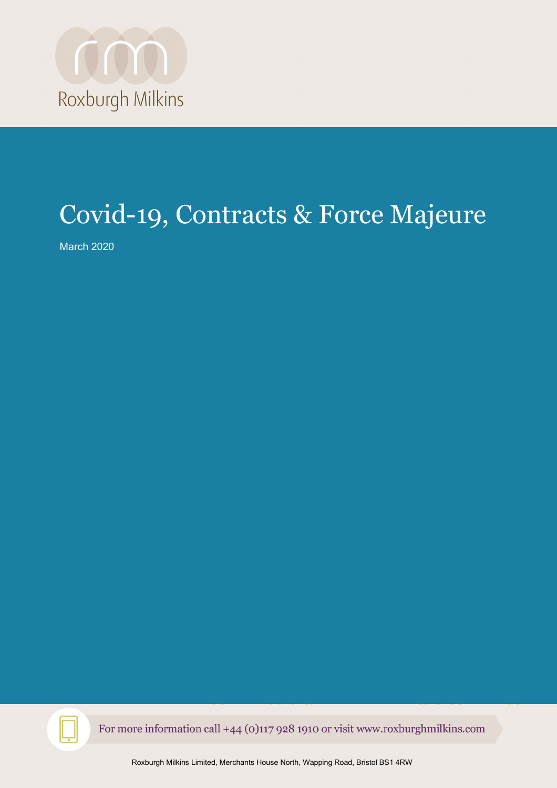

# Covid-19, Contracts & Force Majeure

March 2020



For more information call +44 (0)117 928 1910 or visit www.roxburghmilkins.com

Roxburgh Milkins Limited, Merchants House North, Wapping Road, Bristol BS1 4RW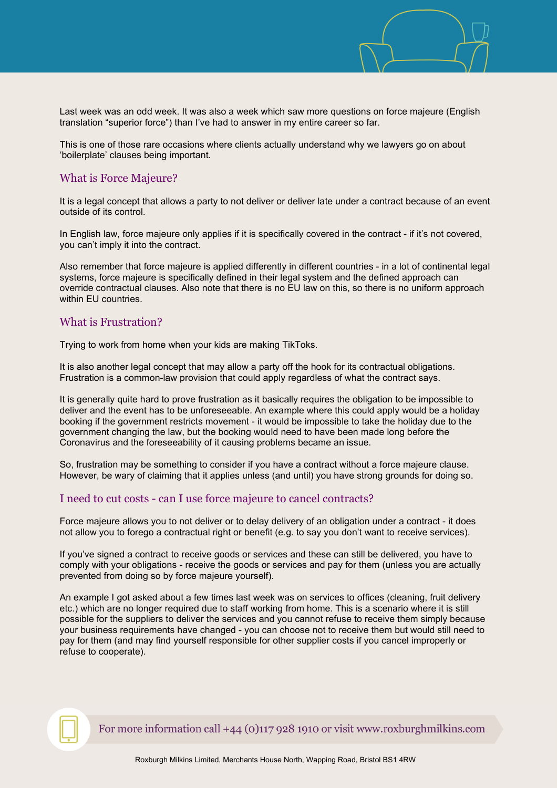

Last week was an odd week. It was also a week which saw more questions on force majeure (English translation "superior force") than I've had to answer in my entire career so far.

This is one of those rare occasions where clients actually understand why we lawyers go on about 'boilerplate' clauses being important.

#### What is Force Majeure?

It is a legal concept that allows a party to not deliver or deliver late under a contract because of an event outside of its control.

In English law, force majeure only applies if it is specifically covered in the contract - if it's not covered, you can't imply it into the contract.

Also remember that force majeure is applied differently in different countries - in a lot of continental legal systems, force majeure is specifically defined in their legal system and the defined approach can override contractual clauses. Also note that there is no EU law on this, so there is no uniform approach within EU countries.

## What is Frustration?

Trying to work from home when your kids are making TikToks.

It is also another legal concept that may allow a party off the hook for its contractual obligations. Frustration is a common-law provision that could apply regardless of what the contract says.

It is generally quite hard to prove frustration as it basically requires the obligation to be impossible to deliver and the event has to be unforeseeable. An example where this could apply would be a holiday booking if the government restricts movement - it would be impossible to take the holiday due to the government changing the law, but the booking would need to have been made long before the Coronavirus and the foreseeability of it causing problems became an issue.

So, frustration may be something to consider if you have a contract without a force majeure clause. However, be wary of claiming that it applies unless (and until) you have strong grounds for doing so.

#### I need to cut costs - can I use force majeure to cancel contracts?

Force majeure allows you to not deliver or to delay delivery of an obligation under a contract - it does not allow you to forego a contractual right or benefit (e.g. to say you don't want to receive services).

If you've signed a contract to receive goods or services and these can still be delivered, you have to comply with your obligations - receive the goods or services and pay for them (unless you are actually prevented from doing so by force majeure yourself).

An example I got asked about a few times last week was on services to offices (cleaning, fruit delivery etc.) which are no longer required due to staff working from home. This is a scenario where it is still possible for the suppliers to deliver the services and you cannot refuse to receive them simply because your business requirements have changed - you can choose not to receive them but would still need to pay for them (and may find yourself responsible for other supplier costs if you cancel improperly or refuse to cooperate).



For more information call  $+44$  (0)117 928 1910 or visit www.roxburghmilkins.com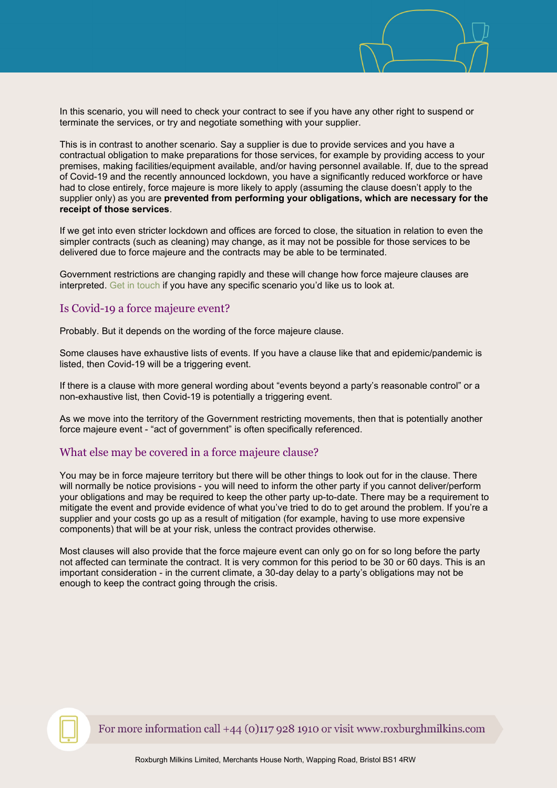

In this scenario, you will need to check your contract to see if you have any other right to suspend or terminate the services, or try and negotiate something with your supplier.

This is in contrast to another scenario. Say a supplier is due to provide services and you have a contractual obligation to make preparations for those services, for example by providing access to your premises, making facilities/equipment available, and/or having personnel available. If, due to the spread of Covid-19 and the recently announced lockdown, you have a significantly reduced workforce or have had to close entirely, force majeure is more likely to apply (assuming the clause doesn't apply to the supplier only) as you are **prevented from performing your obligations, which are necessary for the receipt of those services**.

If we get into even stricter lockdown and offices are forced to close, the situation in relation to even the simpler contracts (such as cleaning) may change, as it may not be possible for those services to be delivered due to force majeure and the contracts may be able to be terminated.

Government restrictions are changing rapidly and these will change how force majeure clauses are interpreted. [Get in touch](mailto:ian.grimley@roxburghmilkins.com) if you have any specific scenario you'd like us to look at.

## Is Covid-19 a force majeure event?

Probably. But it depends on the wording of the force majeure clause.

Some clauses have exhaustive lists of events. If you have a clause like that and epidemic/pandemic is listed, then Covid-19 will be a triggering event.

If there is a clause with more general wording about "events beyond a party's reasonable control" or a non-exhaustive list, then Covid-19 is potentially a triggering event.

As we move into the territory of the Government restricting movements, then that is potentially another force majeure event - "act of government" is often specifically referenced.

# What else may be covered in a force majeure clause?

You may be in force majeure territory but there will be other things to look out for in the clause. There will normally be notice provisions - you will need to inform the other party if you cannot deliver/perform your obligations and may be required to keep the other party up-to-date. There may be a requirement to mitigate the event and provide evidence of what you've tried to do to get around the problem. If you're a supplier and your costs go up as a result of mitigation (for example, having to use more expensive components) that will be at your risk, unless the contract provides otherwise.

Most clauses will also provide that the force majeure event can only go on for so long before the party not affected can terminate the contract. It is very common for this period to be 30 or 60 days. This is an important consideration - in the current climate, a 30-day delay to a party's obligations may not be enough to keep the contract going through the crisis.

For more information call  $+44$  (0)117 928 1910 or visit www.roxburghmilkins.com